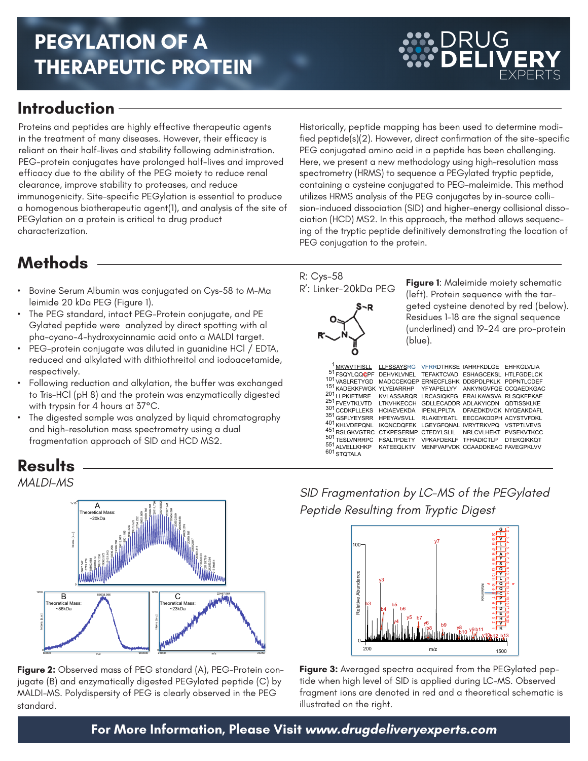## **PEGYLATION OF A THERAPEUTIC PROTEIN**

### **Introduction**

Proteins and peptides are highly effective therapeutic agents in the treatment of many diseases. However, their efficacy is reliant on their half-lives and stability following administration. PEG-protein conjugates have prolonged half-lives and improved efficacy due to the ability of the PEG moiety to reduce renal clearance, improve stability to proteases, and reduce immunogenicity. Site-specific PEGylation is essential to produce a homogenous biotherapeutic agent(1), and analysis of the site of PEGylation on a protein is critical to drug product characterization.

**Methods**

- • Bovine Serum Albumin was conjugated on Cys-58 to M-Ma leimide 20 kDa PEG (Figure 1).
- The PEG standard, intact PEG-Protein conjugate, and PE Gylated peptide were analyzed by direct spotting with al pha-cyano-4-hydroxycinnamic acid onto a MALDI target.
- PEG-protein conjugate was diluted in guanidine HCl / EDTA, reduced and alkylated with dithiothreitol and iodoacetamide, respectively.
- Following reduction and alkylation, the buffer was exchanged to Tris-HCl (pH 8) and the protein was enzymatically digested with trypsin for 4 hours at 37°C.
- The digested sample was analyzed by liquid chromatography and high-resolution mass spectrometry using a dual fragmentation approach of SID and HCD MS2.

Historically, peptide mapping has been used to determine modified peptide(s)(2). However, direct confirmation of the site-specific PEG conjugated amino acid in a peptide has been challenging. Here, we present a new methodology using high-resolution mass spectrometry (HRMS) to sequence a PEGylated tryptic peptide, containing a cysteine conjugated to PEG-maleimide. This method utilizes HRMS analysis of the PEG conjugates by in-source collision-induced dissociation (SID) and higher-energy collisional dissociation (HCD) MS2. In this approach, the method allows sequencing of the tryptic peptide definitively demonstrating the location of PEG conjugation to the protein.

# R': Linker-20kDa PEG

R: Cys-58

**Figure 1**: Maleimide moiety schematic (left). Protein sequence with the targeted cysteine denoted by red (below). Residues 1-18 are the signal sequence (underlined) and 19-24 are pro-protein (blue).

**DRUG** 

| <sup>1</sup> MKWVTFISLL LLFSSAYSRG VFRRDTHKSE IAHRFKDLGE EHFKGLVLIA<br>51FSQYLQQCPF DEHVKLVNEL TEFAKTCVAD ESHAGCEKSL HTLFGDELCK |                                             |                                  |  |
|---------------------------------------------------------------------------------------------------------------------------------|---------------------------------------------|----------------------------------|--|
|                                                                                                                                 |                                             |                                  |  |
| 101 vASLRETYGD                                                                                                                  | MADCCEKQEP ERNECFLSHK DDSPDLPKLK PDPNTLCDEF |                                  |  |
| 151 KADEKKFWGK YLYEIARRHP YFYAPELLYY ANKYNGVFQE CCQAEDKGAC                                                                      |                                             |                                  |  |
| 201<br><b>I I PKIETMRE</b>                                                                                                      | KVLASSARQR LRCASIQKFG ERALKAWSVA RLSQKFPKAE |                                  |  |
| 251 FVEVTKLVTD LTKVHKECCH GDLLECADDR ADLAKYICDN QDTISSKLKE                                                                      |                                             |                                  |  |
| 301 CCDKPLLEKS HCIAEVEKDA IPENLPPLTA DFAEDKDVCK NYQEAKDAFL                                                                      |                                             |                                  |  |
| 351 GSFLYEYSRR                                                                                                                  | <b>HPEYAVSVLL</b>                           | RLAKEYEATL EECCAKDDPH ACYSTVFDKL |  |
| 401 KHLVDEPQNL                                                                                                                  | IKQNCDQFEK LGEYGFQNAL IVRYTRKVPQ VSTPTLVEVS |                                  |  |
| 451 RSLGKVGTRC CTKPESERMP CTEDYLSLIL NRLCVLHEKT PVSEKVTKCC                                                                      |                                             |                                  |  |
| 501 TESLVNRRPC                                                                                                                  | FSALTPDETY VPKAFDEKLF TFHADICTLP DTEKQIKKQT |                                  |  |
| 551<br>ALVELLKHKP                                                                                                               | KATEEQLKTV MENFVAFVDK CCAADDKEAC FAVEGPKLVV |                                  |  |
| 601 STOTALA                                                                                                                     |                                             |                                  |  |
|                                                                                                                                 |                                             |                                  |  |

*SID Fragmentation by LC-MS of the PEGylated Peptide Resulting from Tryptic Digest*



**Figure 3:** Averaged spectra acquired from the PEGylated peptide when high level of SID is applied during LC-MS. Observed fragment ions are denoted in red and a theoretical schematic is

illustrated on the right.

#### **Results** *MALDI-MS*



**Figure 2:** Observed mass of PEG standard (A), PEG-Protein conjugate (B) and enzymatically digested PEGylated peptide (C) by MALDI-MS. Polydispersity of PEG is clearly observed in the PEG standard.

### **For More Information, Please Visit www.drugdeliveryexperts.com**